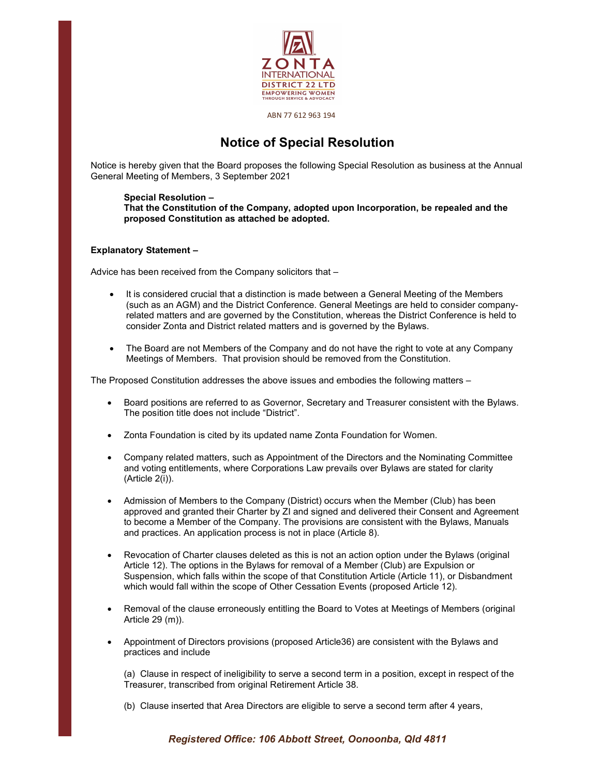

ABN 77 612 963 194

## Notice of Special Resolution

Notice is hereby given that the Board proposes the following Special Resolution as business at the Annual General Meeting of Members, 3 September 2021

## Special Resolution –

That the Constitution of the Company, adopted upon Incorporation, be repealed and the proposed Constitution as attached be adopted.

## Explanatory Statement –

Advice has been received from the Company solicitors that –

- It is considered crucial that a distinction is made between a General Meeting of the Members (such as an AGM) and the District Conference. General Meetings are held to consider companyrelated matters and are governed by the Constitution, whereas the District Conference is held to consider Zonta and District related matters and is governed by the Bylaws.
- The Board are not Members of the Company and do not have the right to vote at any Company Meetings of Members. That provision should be removed from the Constitution.

The Proposed Constitution addresses the above issues and embodies the following matters –

- Board positions are referred to as Governor, Secretary and Treasurer consistent with the Bylaws. The position title does not include "District".
- Zonta Foundation is cited by its updated name Zonta Foundation for Women.
- Company related matters, such as Appointment of the Directors and the Nominating Committee and voting entitlements, where Corporations Law prevails over Bylaws are stated for clarity (Article 2(i)).
- Admission of Members to the Company (District) occurs when the Member (Club) has been approved and granted their Charter by ZI and signed and delivered their Consent and Agreement to become a Member of the Company. The provisions are consistent with the Bylaws, Manuals and practices. An application process is not in place (Article 8).
- Revocation of Charter clauses deleted as this is not an action option under the Bylaws (original Article 12). The options in the Bylaws for removal of a Member (Club) are Expulsion or Suspension, which falls within the scope of that Constitution Article (Article 11), or Disbandment which would fall within the scope of Other Cessation Events (proposed Article 12).
- Removal of the clause erroneously entitling the Board to Votes at Meetings of Members (original Article 29 (m)).
- Appointment of Directors provisions (proposed Article36) are consistent with the Bylaws and practices and include

(a) Clause in respect of ineligibility to serve a second term in a position, except in respect of the Treasurer, transcribed from original Retirement Article 38.

(b) Clause inserted that Area Directors are eligible to serve a second term after 4 years,

Registered Office: 106 Abbott Street, Oonoonba, Qld 4811